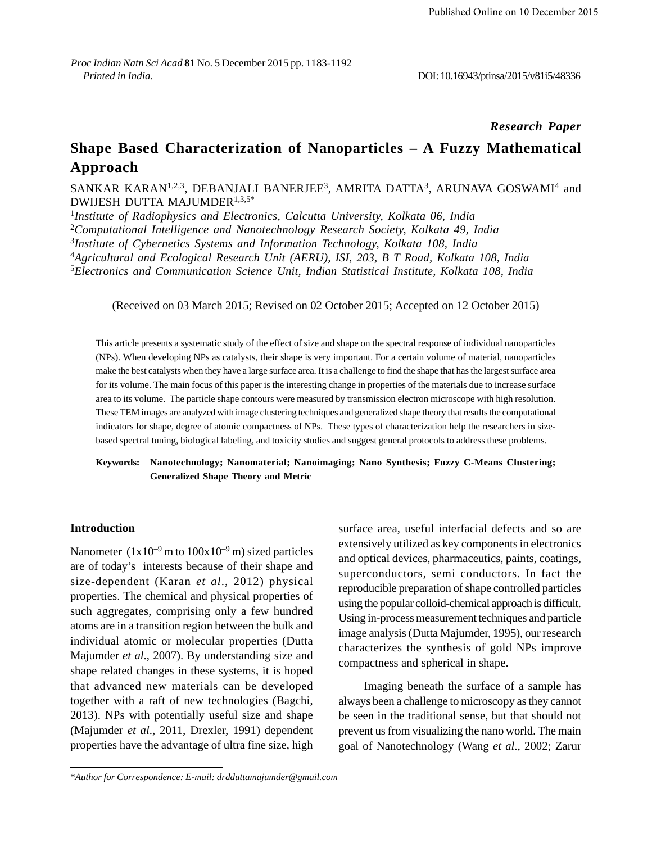### *Research Paper*

# **Shape Based Characterization of Nanoparticles – A Fuzzy Mathematical Approach**

### SANKAR KARAN $^{1,2,3}$ , DEBANJALI BANERJEE $^{3}$ , AMRITA DATTA $^{3}$ , ARUNAVA GOSWAMI $^{4}$  and DWIJESH DUTTA MAJUMDER1,3,5\*

 *Institute of Radiophysics and Electronics, Calcutta University, Kolkata 06, India Computational Intelligence and Nanotechnology Research Society, Kolkata 49, India Institute of Cybernetics Systems and Information Technology, Kolkata 108, India Agricultural and Ecological Research Unit (AERU), ISI, 203, B T Road, Kolkata 108, India Electronics and Communication Science Unit, Indian Statistical Institute, Kolkata 108, India*

(Received on 03 March 2015; Revised on 02 October 2015; Accepted on 12 October 2015)

This article presents a systematic study of the effect of size and shape on the spectral response of individual nanoparticles (NPs). When developing NPs as catalysts, their shape is very important. For a certain volume of material, nanoparticles make the best catalysts when they have a large surface area. It is a challenge to find the shape that has the largest surface area for its volume. The main focus of this paper is the interesting change in properties of the materials due to increase surface area to its volume. The particle shape contours were measured by transmission electron microscope with high resolution. These TEM images are analyzed with image clustering techniques and generalized shape theory that results the computational indicators for shape, degree of atomic compactness of NPs. These types of characterization help the researchers in sizebased spectral tuning, biological labeling, and toxicity studies and suggest general protocols to address these problems.

### **Keywords: Nanotechnology; Nanomaterial; Nanoimaging; Nano Synthesis; Fuzzy C-Means Clustering; Generalized Shape Theory and Metric**

### **Introduction**

Nanometer  $(1x10^{-9} \text{ m to } 100x10^{-9} \text{ m})$  sized particles are of today's interests because of their shape and size-dependent (Karan *et al*., 2012) physical properties. The chemical and physical properties of such aggregates, comprising only a few hundred atoms are in a transition region between the bulk and individual atomic or molecular properties (Dutta Majumder *et al*., 2007). By understanding size and shape related changes in these systems, it is hoped that advanced new materials can be developed together with a raft of new technologies (Bagchi, 2013). NPs with potentially useful size and shape (Majumder *et al*., 2011, Drexler, 1991) dependent properties have the advantage of ultra fine size, high surface area, useful interfacial defects and so are extensively utilized as key components in electronics and optical devices, pharmaceutics, paints, coatings, superconductors, semi conductors. In fact the reproducible preparation of shape controlled particles using the popular colloid-chemical approach is difficult. Using in-process measurement techniques and particle image analysis (Dutta Majumder, 1995), our research characterizes the synthesis of gold NPs improve compactness and spherical in shape.

Imaging beneath the surface of a sample has always been a challenge to microscopy as they cannot be seen in the traditional sense, but that should not prevent us from visualizing the nano world. The main goal of Nanotechnology (Wang *et al*., 2002; Zarur

<sup>\*</sup>*Author for Correspondence: E-mail: drdduttamajumder@gmail.com*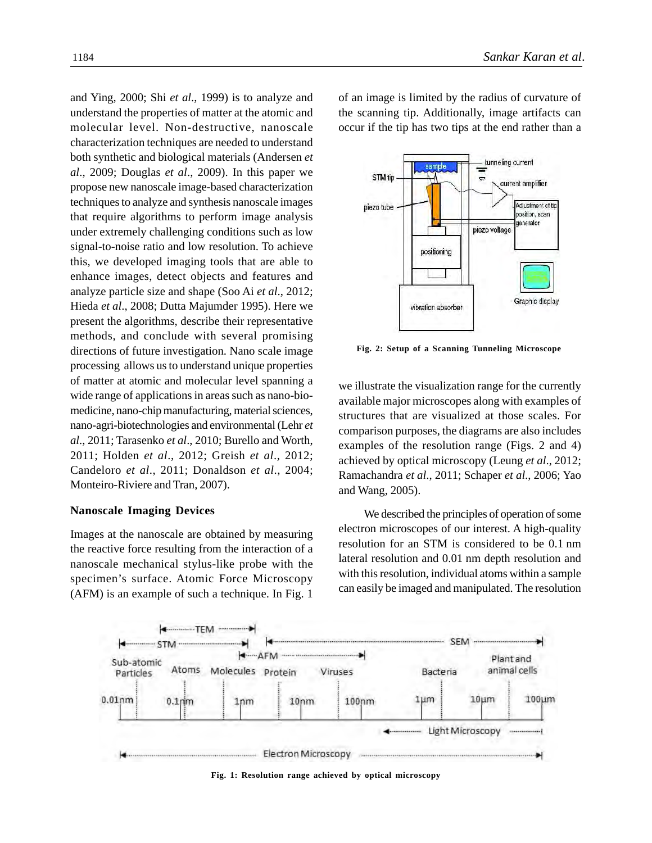and Ying, 2000; Shi *et al*., 1999) is to analyze and understand the properties of matter at the atomic and molecular level. Non-destructive, nanoscale characterization techniques are needed to understand both synthetic and biological materials (Andersen *et al*., 2009; Douglas *et al*., 2009). In this paper we propose new nanoscale image-based characterization techniques to analyze and synthesis nanoscale images that require algorithms to perform image analysis under extremely challenging conditions such as low signal-to-noise ratio and low resolution. To achieve this, we developed imaging tools that are able to enhance images, detect objects and features and analyze particle size and shape (Soo Ai *et al*., 2012; Hieda *et al*., 2008; Dutta Majumder 1995). Here we present the algorithms, describe their representative methods, and conclude with several promising directions of future investigation. Nano scale image processing allows us to understand unique properties of matter at atomic and molecular level spanning a wide range of applications in areas such as nano-biomedicine, nano-chip manufacturing, material sciences, nano-agri-biotechnologies and environmental (Lehr *et al*., 2011; Tarasenko *et al*., 2010; Burello and Worth, 2011; Holden *et al*., 2012; Greish *et al*., 2012; Candeloro *et al*., 2011; Donaldson *et al*., 2004; Monteiro-Riviere and Tran, 2007).

### **Nanoscale Imaging Devices**

Images at the nanoscale are obtained by measuring the reactive force resulting from the interaction of a nanoscale mechanical stylus-like probe with the specimen's surface. Atomic Force Microscopy (AFM) is an example of such a technique. In Fig. 1 of an image is limited by the radius of curvature of the scanning tip. Additionally, image artifacts can occur if the tip has two tips at the end rather than a



**Fig. 2: Setup of a Scanning Tunneling Microscope**

we illustrate the visualization range for the currently available major microscopes along with examples of structures that are visualized at those scales. For comparison purposes, the diagrams are also includes examples of the resolution range (Figs. 2 and 4) achieved by optical microscopy (Leung *et al*., 2012; Ramachandra *et al*., 2011; Schaper *et al*., 2006; Yao and Wang, 2005).

We described the principles of operation of some electron microscopes of our interest. A high-quality resolution for an STM is considered to be 0.1 nm lateral resolution and 0.01 nm depth resolution and with this resolution, individual atoms within a sample can easily be imaged and manipulated. The resolution



**Fig. 1: Resolution range achieved by optical microscopy**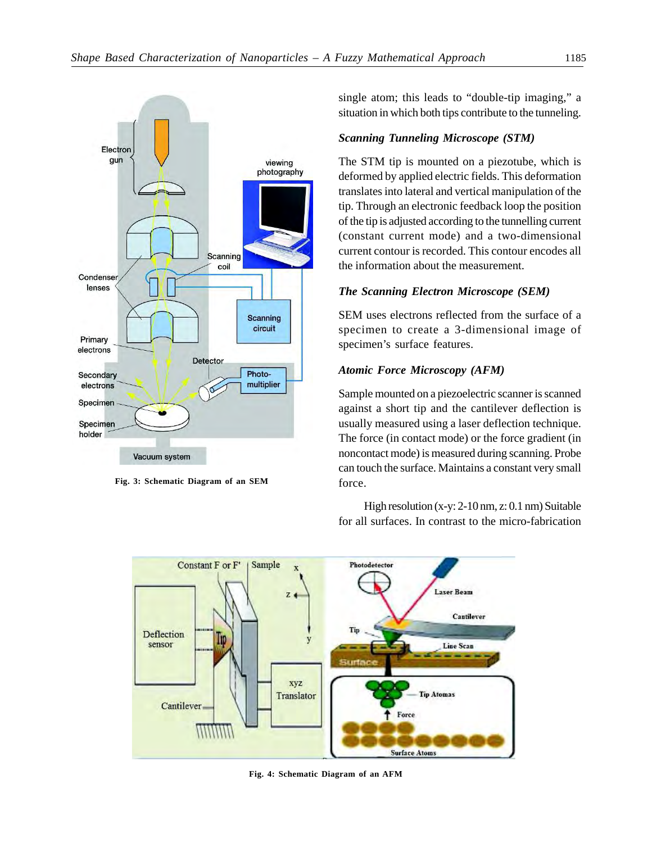

**Fig. 3: Schematic Diagram of an SEM**

single atom; this leads to "double-tip imaging," a situation in which both tips contribute to the tunneling.

### *Scanning Tunneling Microscope (STM)*

The STM tip is mounted on a piezotube, which is deformed by applied electric fields. This deformation translates into lateral and vertical manipulation of the tip. Through an electronic feedback loop the position of the tip is adjusted according to the tunnelling current (constant current mode) and a two-dimensional current contour is recorded. This contour encodes all the information about the measurement.

### *The Scanning Electron Microscope (SEM)*

SEM uses electrons reflected from the surface of a specimen to create a 3-dimensional image of specimen's surface features.

### *Atomic Force Microscopy (AFM)*

Sample mounted on a piezoelectric scanner is scanned against a short tip and the cantilever deflection is usually measured using a laser deflection technique. The force (in contact mode) or the force gradient (in noncontact mode) is measured during scanning. Probe can touch the surface. Maintains a constant very small force.

High resolution (x-y: 2-10 nm, z: 0.1 nm) Suitable for all surfaces. In contrast to the micro-fabrication



**Fig. 4: Schematic Diagram of an AFM**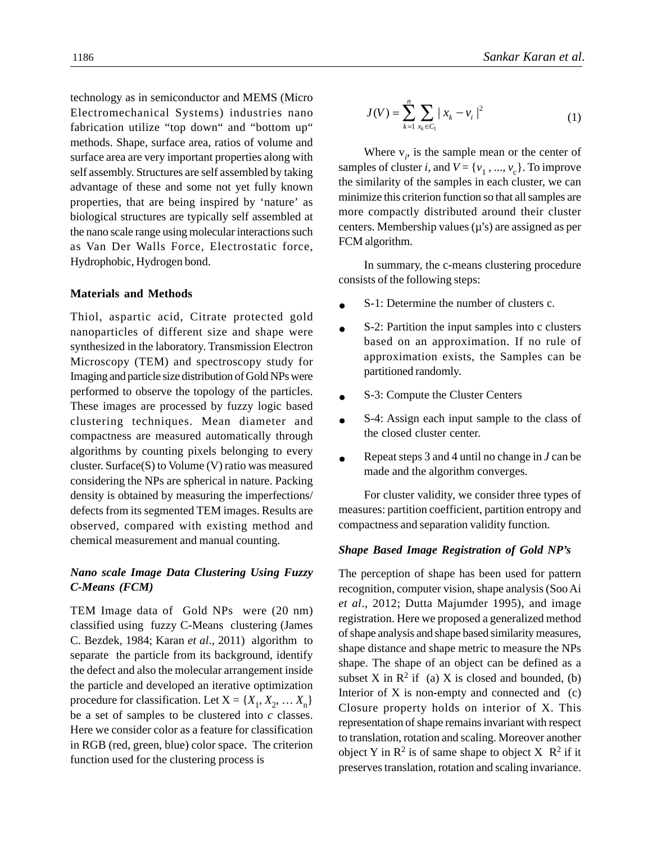technology as in semiconductor and MEMS (Micro Electromechanical Systems) industries nano fabrication utilize "top down" and "bottom up" methods. Shape, surface area, ratios of volume and surface area are very important properties along with self assembly. Structures are self assembled by taking advantage of these and some not yet fully known properties, that are being inspired by 'nature' as biological structures are typically self assembled at the nano scale range using molecular interactions such as Van Der Walls Force, Electrostatic force, Hydrophobic, Hydrogen bond.

### **Materials and Methods**

Thiol, aspartic acid, Citrate protected gold nanoparticles of different size and shape were synthesized in the laboratory. Transmission Electron Microscopy (TEM) and spectroscopy study for Imaging and particle size distribution of Gold NPs were performed to observe the topology of the particles. These images are processed by fuzzy logic based clustering techniques. Mean diameter and compactness are measured automatically through algorithms by counting pixels belonging to every cluster. Surface(S) to Volume (V) ratio was measured considering the NPs are spherical in nature. Packing density is obtained by measuring the imperfections/ defects from its segmented TEM images. Results are observed, compared with existing method and chemical measurement and manual counting.

### *Nano scale Image Data Clustering Using Fuzzy C-Means (FCM)*

TEM Image data of Gold NPs were (20 nm) classified using fuzzy C-Means clustering (James C. Bezdek, 1984; Karan *et al*., 2011) algorithm to separate the particle from its background, identify the defect and also the molecular arrangement inside the particle and developed an iterative optimization procedure for classification. Let  $X = \{X_1, X_2, \dots X_n\}$ be a set of samples to be clustered into *c* classes. Here we consider color as a feature for classification in RGB (red, green, blue) color space. The criterion function used for the clustering process is

1186 *Sankar Karan et al*.

$$
J(V) = \sum_{k=1}^{n} \sum_{x_k \in C_1} |x_k - v_i|^2
$$
 (1)

Where  $v_i$ , is the sample mean or the center of samples of cluster *i*, and  $V = \{v_1, ..., v_c\}$ . To improve the similarity of the samples in each cluster, we can minimize this criterion function so that all samples are more compactly distributed around their cluster centers. Membership values  $(u's)$  are assigned as per FCM algorithm.

In summary, the c-means clustering procedure consists of the following steps:

- S-1: Determine the number of clusters c.
- S-2: Partition the input samples into c clusters based on an approximation. If no rule of approximation exists, the Samples can be partitioned randomly.
- S-3: Compute the Cluster Centers  $\bullet$
- S-4: Assign each input sample to the class of  $\bullet$ the closed cluster center.
- Repeat steps 3 and 4 until no change in *J* can be made and the algorithm converges.

For cluster validity, we consider three types of measures: partition coefficient, partition entropy and compactness and separation validity function.

### *Shape Based Image Registration of Gold NP's*

The perception of shape has been used for pattern recognition, computer vision, shape analysis (Soo Ai *et al*., 2012; Dutta Majumder 1995), and image registration. Here we proposed a generalized method of shape analysis and shape based similarity measures, shape distance and shape metric to measure the NPs shape. The shape of an object can be defined as a subset X in  $\mathbb{R}^2$  if (a) X is closed and bounded, (b) Interior of  $X$  is non-empty and connected and  $(c)$ Closure property holds on interior of X. This representation of shape remains invariant with respect to translation, rotation and scaling. Moreover another object Y in  $\mathbb{R}^2$  is of same shape to object X  $\mathbb{R}^2$  if it preserves translation, rotation and scaling invariance.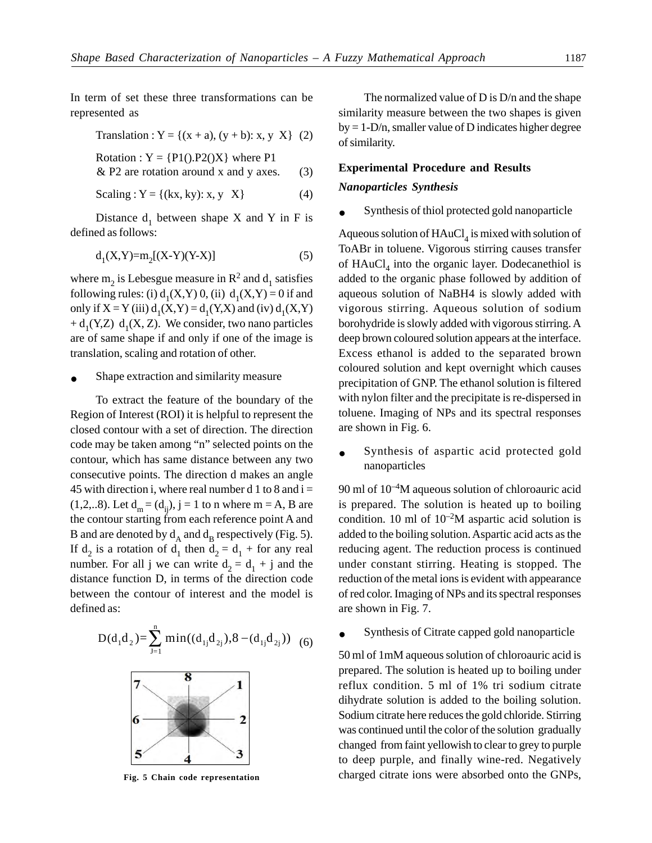In term of set these three transformations can be represented as

Translation : 
$$
Y = \{(x + a), (y + b): x, y \mid X\}
$$
 (2)

Rotation :  $Y = \{P1(), P2()X\}$  where P1

$$
& P2 are rotation around x and y axes. \tag{3}
$$

Scaling : Y = {(kx, ky): x, y X} 
$$
(4)
$$

Distance  $d_1$  between shape X and Y in F is defined as follows:

$$
d_1(X,Y) = m_2[(X-Y)(Y-X)]
$$
 (5)

where  $m_2$  is Lebesgue measure in  $R^2$  and  $d_1$  satisfies following rules: (i)  $d_1(X,Y)$  0, (ii)  $d_1(X,Y) = 0$  if and only if  $X = Y$  (iii)  $d_1(X, Y) = d_1(Y, X)$  and (iv)  $d_1(X, Y)$  $+ d_1(Y,Z) d_1(X, Z)$ . We consider, two nano particles are of same shape if and only if one of the image is translation, scaling and rotation of other.

Shape extraction and similarity measure

To extract the feature of the boundary of the Region of Interest (ROI) it is helpful to represent the closed contour with a set of direction. The direction code may be taken among "n" selected points on the contour, which has same distance between any two consecutive points. The direction d makes an angle 45 with direction i, where real number d 1 to 8 and  $i =$ (1,2,..8). Let  $d_m = (d_{ij}), j = 1$  to n where m = A, B are the contour starting from each reference point A and B and are denoted by  $d_A$  and  $d_B$  respectively (Fig. 5). If  $d_2$  is a rotation of  $d_1$  then  $d_2 = d_1 +$  for any real number. For all j we can write  $d_2 = d_1 + j$  and the distance function D, in terms of the direction code between the contour of interest and the model is defined as:

$$
D(d_1d_2) = \sum_{j=1}^{n} \min((d_{1j}d_{2j}), 8 - (d_{1j}d_{2j}))
$$
 (6)



The normalized value of D is D/n and the shape similarity measure between the two shapes is given  $by = 1-D/n$ , smaller value of D indicates higher degree of similarity.

#### **Experimental Procedure and Results**

#### *Nanoparticles Synthesis*

Synthesis of thiol protected gold nanoparticle

Aqueous solution of  $\mathrm{HAuCl}_4$  is mixed with solution of ToABr in toluene. Vigorous stirring causes transfer of  $HAuCl<sub>4</sub>$  into the organic layer. Dodecanethiol is added to the organic phase followed by addition of aqueous solution of NaBH4 is slowly added with vigorous stirring. Aqueous solution of sodium borohydride is slowly added with vigorous stirring. A deep brown coloured solution appears at the interface. Excess ethanol is added to the separated brown coloured solution and kept overnight which causes precipitation of GNP. The ethanol solution is filtered with nylon filter and the precipitate is re-dispersed in toluene. Imaging of NPs and its spectral responses are shown in Fig. 6.

Synthesis of aspartic acid protected gold nanoparticles

 $90$  ml of  $10^{-4}$ M aqueous solution of chloroauric acid is prepared. The solution is heated up to boiling condition. 10 ml of  $10^{-2}M$  aspartic acid solution is added to the boiling solution. Aspartic acid acts as the reducing agent. The reduction process is continued under constant stirring. Heating is stopped. The reduction of the metal ions is evident with appearance of red color. Imaging of NPs and its spectral responses are shown in Fig. 7.

Synthesis of Citrate capped gold nanoparticle

50 ml of 1mM aqueous solution of chloroauric acid is prepared. The solution is heated up to boiling under reflux condition. 5 ml of 1% tri sodium citrate dihydrate solution is added to the boiling solution. Sodium citrate here reduces the gold chloride. Stirring was continued until the color of the solution gradually changed from faint yellowish to clear to grey to purple to deep purple, and finally wine-red. Negatively **Fig. 5 Chain code representation** charged citrate ions were absorbed onto the GNPs,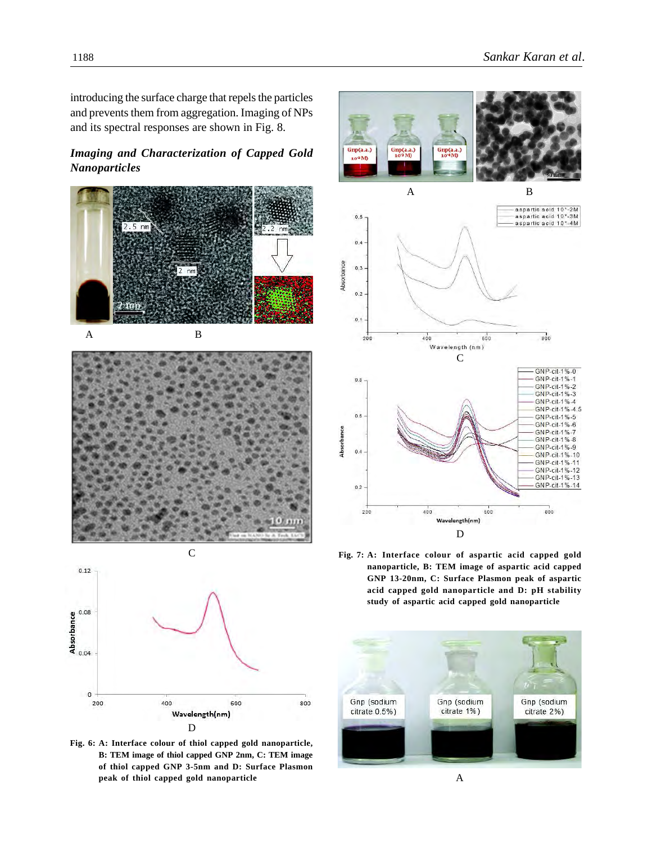introducing the surface charge that repels the particles and prevents them from aggregation. Imaging of NPs and its spectral responses are shown in Fig. 8.

# *Imaging and Characterization of Capped Gold Nanoparticles*





800

**Fig. 6: A: Interface colour of thiol capped gold nanoparticle, B: TEM image of thiol capped GNP 2nm, C: TEM image of thiol capped GNP 3-5nm and D: Surface Plasmon peak of thiol capped gold nanoparticle** A

200



**Fig. 7: A: Interface colour of aspartic acid capped gold nanoparticle, B: TEM image of aspartic acid capped GNP 13-20nm, C: Surface Plasmon peak of aspartic acid capped gold nanoparticle and D: pH stability study of aspartic acid capped gold nanoparticle**

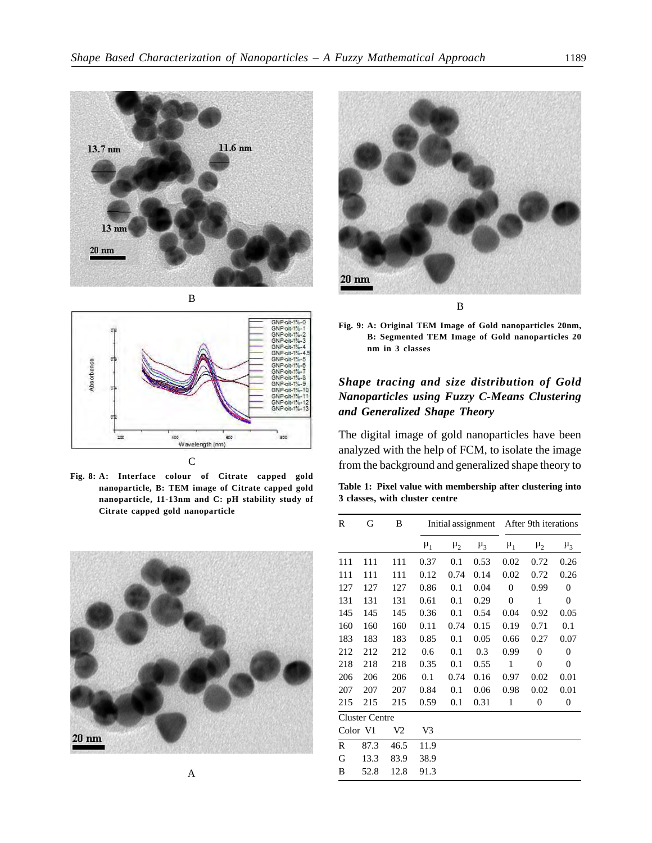





**Fig. 8: A: Interface colour of Citrate capped gold nanoparticle, B: TEM image of Citrate capped gold nanoparticle, 11-13nm and C: pH stability study of Citrate capped gold nanoparticle**





**Fig. 9: A: Original TEM Image of Gold nanoparticles 20nm, B: Segmented TEM Image of Gold nanoparticles 20 nm in 3 classes**

## *Shape tracing and size distribution of Gold Nanoparticles using Fuzzy C-Means Clustering and Generalized Shape Theory*

The digital image of gold nanoparticles have been analyzed with the help of FCM, to isolate the image from the background and generalized shape theory to

**Table 1: Pixel value with membership after clustering into 3 classes, with cluster centre**

|   | R<br>G                |      | B              |         | Initial assignment |         |              | After 9th iterations |                  |  |
|---|-----------------------|------|----------------|---------|--------------------|---------|--------------|----------------------|------------------|--|
|   |                       |      |                | $\mu_1$ | $\mu_2$            | $\mu_3$ | $\mu_1$      | $\mu_2$              | $\mu_3$          |  |
|   | 111                   | 111  | 111            | 0.37    | 0.1                | 0.53    | 0.02         | 0.72                 | 0.26             |  |
|   | 111                   | 111  | 111            | 0.12    | 0.74               | 0.14    | 0.02         | 0.72                 | 0.26             |  |
|   | 127                   | 127  | 127            | 0.86    | 0.1                | 0.04    | $\mathbf{0}$ | 0.99                 | $\boldsymbol{0}$ |  |
|   | 131                   | 131  | 131            | 0.61    | 0.1                | 0.29    | $\mathbf{0}$ | $\mathbf{1}$         | $\boldsymbol{0}$ |  |
|   | 145                   | 145  | 145            | 0.36    | 0.1                | 0.54    | 0.04         | 0.92                 | 0.05             |  |
|   | 160                   | 160  | 160            | 0.11    | 0.74               | 0.15    | 0.19         | 0.71                 | 0.1              |  |
|   | 183                   | 183  | 183            | 0.85    | 0.1                | 0.05    | 0.66         | 0.27                 | 0.07             |  |
|   | 212                   | 212  | 212            | 0.6     | 0.1                | 0.3     | 0.99         | $\mathbf{0}$         | $\boldsymbol{0}$ |  |
|   | 218                   | 218  | 218            | 0.35    | 0.1                | 0.55    | $\mathbf{1}$ | $\mathbf{0}$         | $\boldsymbol{0}$ |  |
|   | 206                   | 206  | 206            | 0.1     | 0.74               | 0.16    | 0.97         | 0.02                 | 0.01             |  |
|   | 207                   | 207  | 207            | 0.84    | 0.1                | 0.06    | 0.98         | 0.02                 | 0.01             |  |
|   | 215                   | 215  | 215            | 0.59    | 0.1                | 0.31    | 1            | $\overline{0}$       | $\boldsymbol{0}$ |  |
|   | <b>Cluster Centre</b> |      |                |         |                    |         |              |                      |                  |  |
|   | Color V1              |      | V <sub>2</sub> | V3      |                    |         |              |                      |                  |  |
|   | R                     | 87.3 | 46.5           | 11.9    |                    |         |              |                      |                  |  |
|   | G                     | 13.3 | 83.9           | 38.9    |                    |         |              |                      |                  |  |
| A | B                     | 52.8 | 12.8           | 91.3    |                    |         |              |                      |                  |  |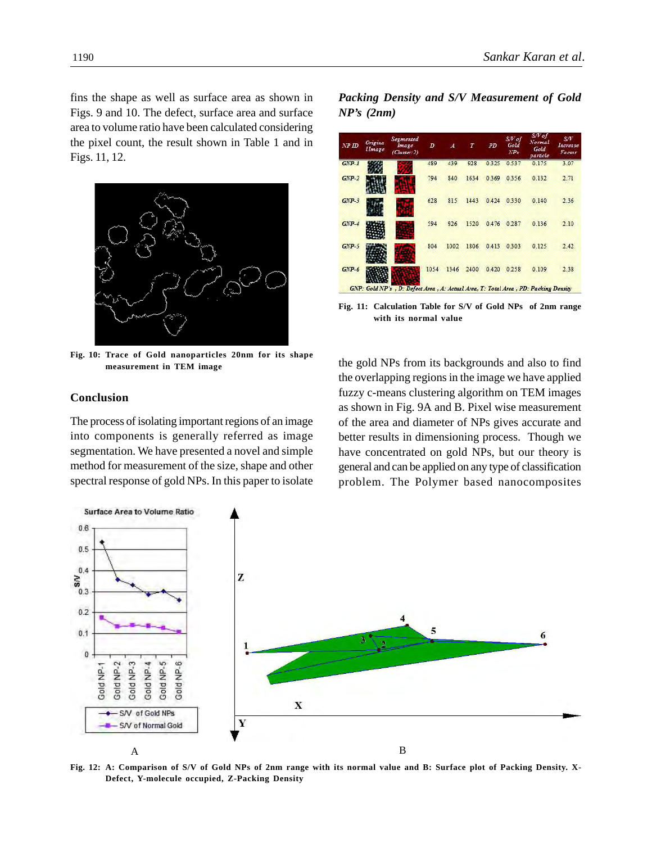fins the shape as well as surface area as shown in Figs. 9 and 10. The defect, surface area and surface area to volume ratio have been calculated considering the pixel count, the result shown in Table 1 and in Figs. 11, 12.



**Fig. 10: Trace of Gold nanoparticles 20nm for its shape measurement in TEM image**

### **Conclusion**

The process of isolating important regions of an image into components is generally referred as image segmentation. We have presented a novel and simple method for measurement of the size, shape and other spectral response of gold NPs. In this paper to isolate *Packing Density and S/V Measurement of Gold NP's (2nm)*



**Fig. 11: Calculation Table for S/V of Gold NPs of 2nm range with its normal value**

the gold NPs from its backgrounds and also to find the overlapping regions in the image we have applied fuzzy c-means clustering algorithm on TEM images as shown in Fig. 9A and B. Pixel wise measurement of the area and diameter of NPs gives accurate and better results in dimensioning process. Though we have concentrated on gold NPs, but our theory is general and can be applied on any type of classification problem. The Polymer based nanocomposites



**Fig. 12: A: Comparison of S/V of Gold NPs of 2nm range with its normal value and B: Surface plot of Packing Density. X-Defect, Y-molecule occupied, Z-Packing Density**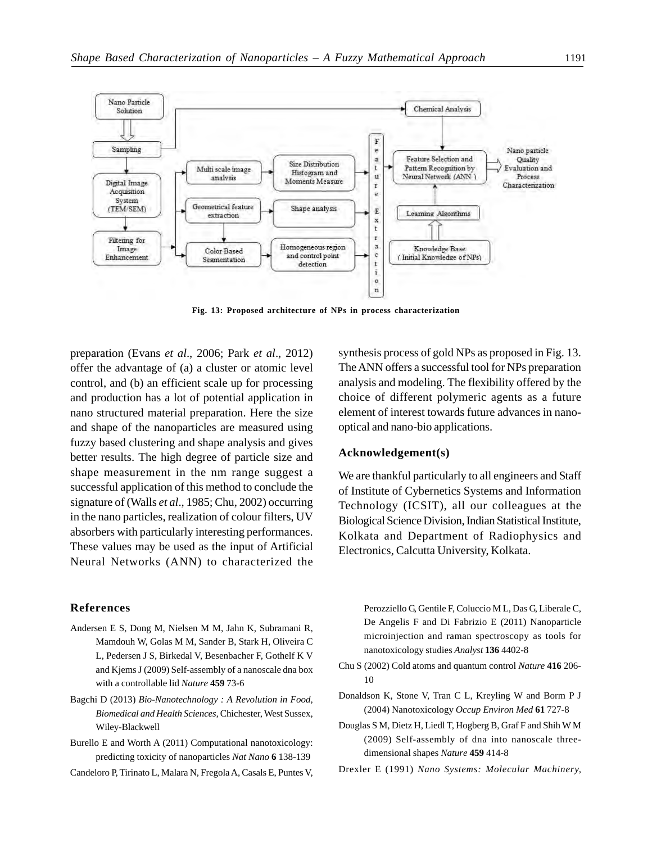

**Fig. 13: Proposed architecture of NPs in process characterization**

preparation (Evans *et al*., 2006; Park *et al*., 2012) offer the advantage of (a) a cluster or atomic level control, and (b) an efficient scale up for processing and production has a lot of potential application in nano structured material preparation. Here the size and shape of the nanoparticles are measured using fuzzy based clustering and shape analysis and gives better results. The high degree of particle size and shape measurement in the nm range suggest a successful application of this method to conclude the signature of (Walls *et al*., 1985; Chu, 2002) occurring in the nano particles, realization of colour filters, UV absorbers with particularly interesting performances. These values may be used as the input of Artificial Neural Networks (ANN) to characterized the synthesis process of gold NPs as proposed in Fig. 13. The ANN offers a successful tool for NPs preparation analysis and modeling. The flexibility offered by the choice of different polymeric agents as a future element of interest towards future advances in nanooptical and nano-bio applications.

### **Acknowledgement(s)**

We are thankful particularly to all engineers and Staff of Institute of Cybernetics Systems and Information Technology (ICSIT), all our colleagues at the Biological Science Division, Indian Statistical Institute, Kolkata and Department of Radiophysics and Electronics, Calcutta University, Kolkata.

#### **References**

- Andersen E S, Dong M, Nielsen M M, Jahn K, Subramani R, Mamdouh W, Golas M M, Sander B, Stark H, Oliveira C L, Pedersen J S, Birkedal V, Besenbacher F, Gothelf K V and Kjems J (2009) Self-assembly of a nanoscale dna box with a controllable lid *Nature* **459** 73-6
- Bagchi D (2013) *Bio-Nanotechnology : A Revolution in Food, Biomedical and Health Sciences,* Chichester, West Sussex, Wiley-Blackwell
- Burello E and Worth A (2011) Computational nanotoxicology: predicting toxicity of nanoparticles *Nat Nano* **6** 138-139
- Candeloro P, Tirinato L, Malara N, Fregola A, Casals E, Puntes V,

Perozziello G, Gentile F, Coluccio M L, Das G, Liberale C, De Angelis F and Di Fabrizio E (2011) Nanoparticle microinjection and raman spectroscopy as tools for nanotoxicology studies *Analyst* **136** 4402-8

- Chu S (2002) Cold atoms and quantum control *Nature* **416** 206- 10
- Donaldson K, Stone V, Tran C L, Kreyling W and Borm P J (2004) Nanotoxicology *Occup Environ Med* **61** 727-8
- Douglas S M, Dietz H, Liedl T, Hogberg B, Graf F and Shih W M (2009) Self-assembly of dna into nanoscale threedimensional shapes *Nature* **459** 414-8
- Drexler E (1991) *Nano Systems: Molecular Machinery,*